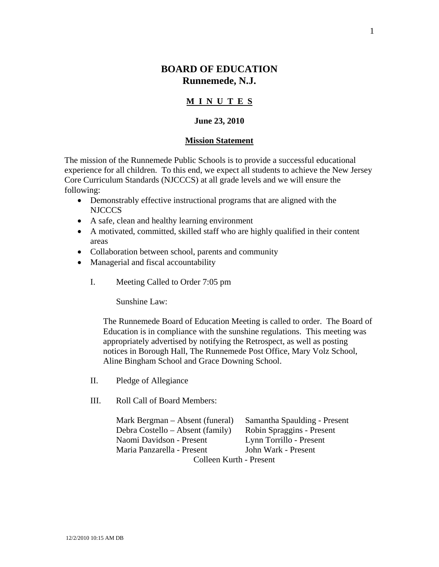# **BOARD OF EDUCATION Runnemede, N.J.**

## **M I N U T E S**

### **June 23, 2010**

#### **Mission Statement**

The mission of the Runnemede Public Schools is to provide a successful educational experience for all children. To this end, we expect all students to achieve the New Jersey Core Curriculum Standards (NJCCCS) at all grade levels and we will ensure the following:

- Demonstrably effective instructional programs that are aligned with the NJCCCS
- A safe, clean and healthy learning environment
- A motivated, committed, skilled staff who are highly qualified in their content areas
- Collaboration between school, parents and community
- Managerial and fiscal accountability
	- I. Meeting Called to Order 7:05 pm

Sunshine Law:

The Runnemede Board of Education Meeting is called to order. The Board of Education is in compliance with the sunshine regulations. This meeting was appropriately advertised by notifying the Retrospect, as well as posting notices in Borough Hall, The Runnemede Post Office, Mary Volz School, Aline Bingham School and Grace Downing School.

- II. Pledge of Allegiance
- III. Roll Call of Board Members:

 Mark Bergman – Absent (funeral) Samantha Spaulding - Present Debra Costello – Absent (family) Robin Spraggins - Present Naomi Davidson - Present Lynn Torrillo - Present Maria Panzarella - Present John Wark - Present Colleen Kurth - Present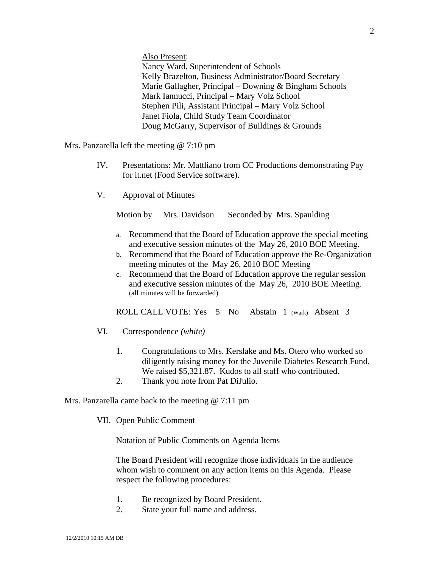Also Present:

Nancy Ward, Superintendent of Schools Kelly Brazelton, Business Administrator/Board Secretary Marie Gallagher, Principal – Downing & Bingham Schools Mark Iannucci, Principal – Mary Volz School Stephen Pili, Assistant Principal – Mary Volz School Janet Fiola, Child Study Team Coordinator Doug McGarry, Supervisor of Buildings & Grounds

Mrs. Panzarella left the meeting @ 7:10 pm

- IV. Presentations: Mr. Mattliano from CC Productions demonstrating Pay for it.net (Food Service software).
- V. Approval of Minutes

Motion by Mrs. Davidson Seconded by Mrs. Spaulding

- a. Recommend that the Board of Education approve the special meeting and executive session minutes of the May 26, 2010 BOE Meeting.
- b. Recommend that the Board of Education approve the Re-Organization meeting minutes of the May 26, 2010 BOE Meeting
- c. Recommend that the Board of Education approve the regular session and executive session minutes of the May 26, 2010 BOE Meeting. (all minutes will be forwarded)

ROLL CALL VOTE: Yes 5 No Abstain 1 (Wark) Absent 3

- VI. Correspondence *(white)* 
	- 1. Congratulations to Mrs. Kerslake and Ms. Otero who worked so diligently raising money for the Juvenile Diabetes Research Fund. We raised \$5,321.87. Kudos to all staff who contributed.
	- 2. Thank you note from Pat DiJulio.

Mrs. Panzarella came back to the meeting @ 7:11 pm

VII. Open Public Comment

Notation of Public Comments on Agenda Items

The Board President will recognize those individuals in the audience whom wish to comment on any action items on this Agenda. Please respect the following procedures:

- 1. Be recognized by Board President.
- 2. State your full name and address.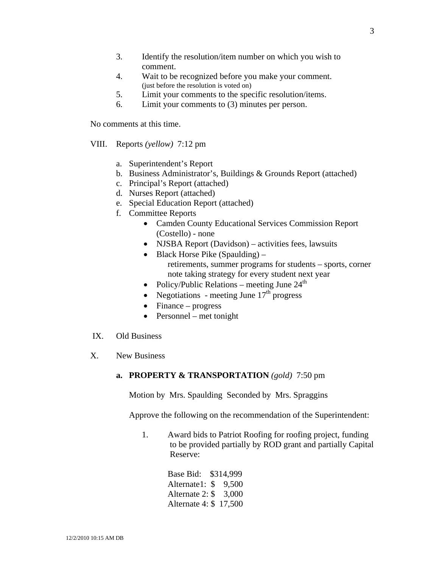- 3. Identify the resolution/item number on which you wish to comment.
- 4. Wait to be recognized before you make your comment. (just before the resolution is voted on)
- 5. Limit your comments to the specific resolution/items.
- 6. Limit your comments to (3) minutes per person.

No comments at this time.

- VIII. Reports *(yellow)* 7:12 pm
	- a. Superintendent's Report
	- b. Business Administrator's, Buildings & Grounds Report (attached)
	- c. Principal's Report (attached)
	- d. Nurses Report (attached)
	- e. Special Education Report (attached)
	- f. Committee Reports
		- Camden County Educational Services Commission Report (Costello) - none
		- NJSBA Report (Davidson) activities fees, lawsuits
		- Black Horse Pike (Spaulding) retirements, summer programs for students – sports, corner note taking strategy for every student next year
		- Policy/Public Relations meeting June  $24<sup>th</sup>$
		- Negotiations meeting June  $17<sup>th</sup>$  progress
		- Finance progress
		- Personnel met tonight
- IX. Old Business
- X. New Business

#### **a. PROPERTY & TRANSPORTATION** *(gold)* 7:50 pm

Motion by Mrs. Spaulding Seconded by Mrs. Spraggins

Approve the following on the recommendation of the Superintendent:

 1. Award bids to Patriot Roofing for roofing project, funding to be provided partially by ROD grant and partially Capital Reserve:

> Base Bid: \$314,999 Alternate1: \$ 9,500 Alternate 2: \$ 3,000 Alternate 4: \$ 17,500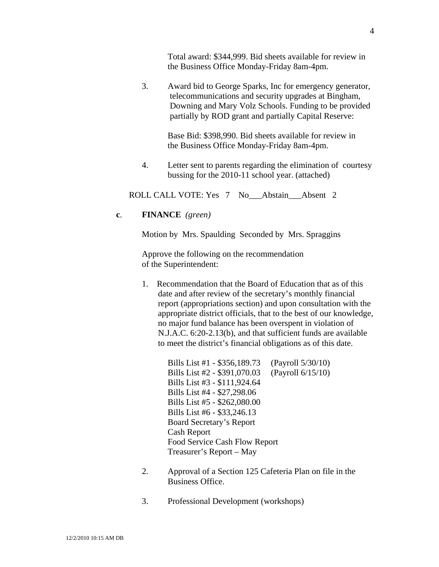Total award: \$344,999. Bid sheets available for review in the Business Office Monday-Friday 8am-4pm.

 3. Award bid to George Sparks, Inc for emergency generator, telecommunications and security upgrades at Bingham, Downing and Mary Volz Schools. Funding to be provided partially by ROD grant and partially Capital Reserve:

> Base Bid: \$398,990. Bid sheets available for review in the Business Office Monday-Friday 8am-4pm.

4. Letter sent to parents regarding the elimination of courtesy bussing for the 2010-11 school year. (attached)

ROLL CALL VOTE: Yes 7 No Abstain Absent 2

**c**. **FINANCE** *(green)* 

Motion by Mrs. Spaulding Seconded by Mrs. Spraggins

Approve the following on the recommendation of the Superintendent:

1. Recommendation that the Board of Education that as of this date and after review of the secretary's monthly financial report (appropriations section) and upon consultation with the appropriate district officials, that to the best of our knowledge, no major fund balance has been overspent in violation of N.J.A.C. 6:20-2.13(b), and that sufficient funds are available to meet the district's financial obligations as of this date.

> Bills List #1 - \$356,189.73 (Payroll 5/30/10) Bills List #2 - \$391,070.03 (Payroll 6/15/10) Bills List #3 - \$111,924.64 Bills List #4 - \$27,298.06 Bills List #5 - \$262,080.00 Bills List #6 - \$33,246.13 Board Secretary's Report Cash Report Food Service Cash Flow Report Treasurer's Report – May

- 2. Approval of a Section 125 Cafeteria Plan on file in the Business Office.
- 3. Professional Development (workshops)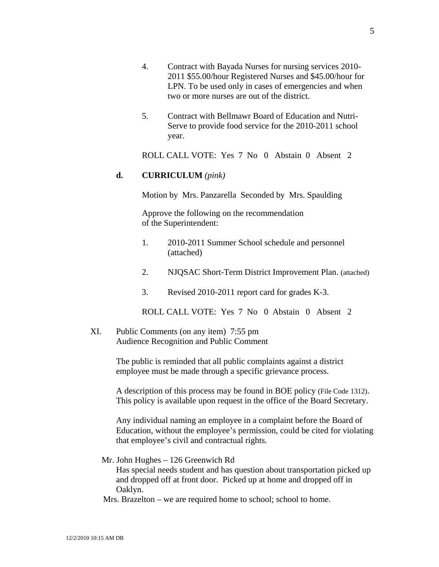- 4. Contract with Bayada Nurses for nursing services 2010- 2011 \$55.00/hour Registered Nurses and \$45.00/hour for LPN. To be used only in cases of emergencies and when two or more nurses are out of the district.
- 5. Contract with Bellmawr Board of Education and Nutri- Serve to provide food service for the 2010-2011 school year.

ROLL CALL VOTE: Yes 7 No 0 Abstain 0 Absent 2

#### **d. CURRICULUM** *(pink)*

Motion by Mrs. Panzarella Seconded by Mrs. Spaulding

Approve the following on the recommendation of the Superintendent:

- 1. 2010-2011 Summer School schedule and personnel (attached)
- 2. NJQSAC Short-Term District Improvement Plan. (attached)
- 3. Revised 2010-2011 report card for grades K-3.

ROLL CALL VOTE: Yes 7 No 0 Abstain 0 Absent 2

XI. Public Comments (on any item) 7:55 pm Audience Recognition and Public Comment

> The public is reminded that all public complaints against a district employee must be made through a specific grievance process.

A description of this process may be found in BOE policy (File Code 1312). This policy is available upon request in the office of the Board Secretary.

Any individual naming an employee in a complaint before the Board of Education, without the employee's permission, could be cited for violating that employee's civil and contractual rights.

Mr. John Hughes – 126 Greenwich Rd

Has special needs student and has question about transportation picked up and dropped off at front door. Picked up at home and dropped off in Oaklyn.

Mrs. Brazelton – we are required home to school; school to home.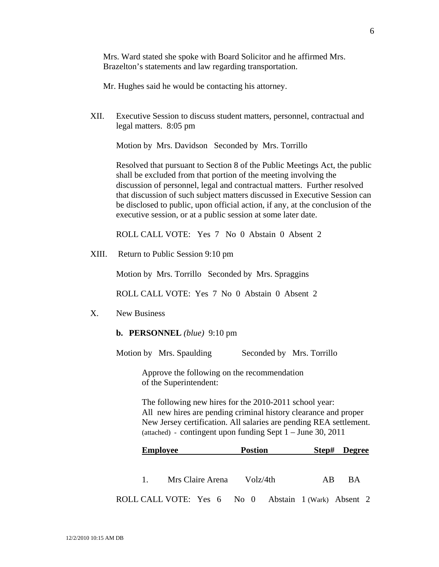Mrs. Ward stated she spoke with Board Solicitor and he affirmed Mrs. Brazelton's statements and law regarding transportation.

Mr. Hughes said he would be contacting his attorney.

XII. Executive Session to discuss student matters, personnel, contractual and legal matters. 8:05 pm

Motion by Mrs. Davidson Seconded by Mrs. Torrillo

Resolved that pursuant to Section 8 of the Public Meetings Act, the public shall be excluded from that portion of the meeting involving the discussion of personnel, legal and contractual matters. Further resolved that discussion of such subject matters discussed in Executive Session can be disclosed to public, upon official action, if any, at the conclusion of the executive session, or at a public session at some later date.

ROLL CALL VOTE: Yes 7 No 0 Abstain 0 Absent 2

XIII. Return to Public Session 9:10 pm

Motion by Mrs. Torrillo Seconded by Mrs. Spraggins

ROLL CALL VOTE: Yes 7 No 0 Abstain 0 Absent 2

- X. New Business
	- **b. PERSONNEL** *(blue)* 9:10 pm

Motion by Mrs. Spaulding Seconded by Mrs. Torrillo

 Approve the following on the recommendation of the Superintendent:

 The following new hires for the 2010-2011 school year: All new hires are pending criminal history clearance and proper New Jersey certification. All salaries are pending REA settlement. (attached) - contingent upon funding Sept  $1 -$  June 30, 2011

| <b>Employee</b>                                      |                              |  | <b>Postion</b> |  |  |    |      | Step# Degree |  |
|------------------------------------------------------|------------------------------|--|----------------|--|--|----|------|--------------|--|
|                                                      |                              |  |                |  |  |    |      |              |  |
|                                                      | 1. Mrs Claire Arena Volz/4th |  |                |  |  | AB | - BA |              |  |
| ROLL CALL VOTE: Yes 6 No 0 Abstain 1 (Wark) Absent 2 |                              |  |                |  |  |    |      |              |  |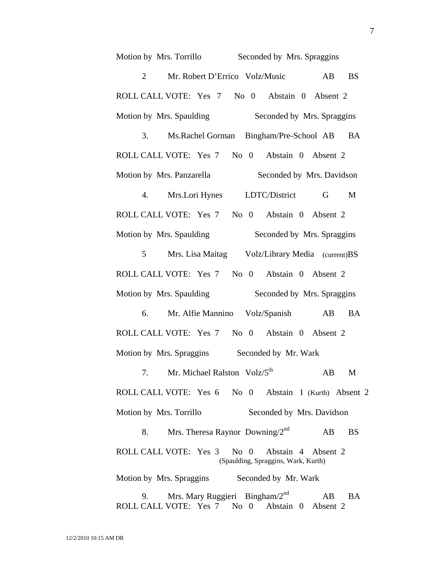| Seconded by Mrs. Spraggins<br>Motion by Mrs. Torrillo                                             |           |  |  |  |
|---------------------------------------------------------------------------------------------------|-----------|--|--|--|
| Mr. Robert D'Errico Volz/Music<br>$\overline{2}$<br>AB                                            | <b>BS</b> |  |  |  |
| ROLL CALL VOTE: Yes 7 No 0 Abstain 0 Absent 2                                                     |           |  |  |  |
| Seconded by Mrs. Spraggins<br>Motion by Mrs. Spaulding                                            |           |  |  |  |
| 3.<br>Ms. Rachel Gorman Bingham/Pre-School AB                                                     | <b>BA</b> |  |  |  |
| ROLL CALL VOTE: Yes 7 No 0 Abstain 0 Absent 2                                                     |           |  |  |  |
| Seconded by Mrs. Davidson<br>Motion by Mrs. Panzarella                                            |           |  |  |  |
| 4.<br>Mrs.Lori Hynes LDTC/District<br>G                                                           | M         |  |  |  |
| ROLL CALL VOTE: Yes 7 No 0 Abstain 0 Absent 2                                                     |           |  |  |  |
| Motion by Mrs. Spaulding<br>Seconded by Mrs. Spraggins                                            |           |  |  |  |
| Mrs. Lisa Maitag Volz/Library Media (current)BS<br>$5^{\circ}$                                    |           |  |  |  |
| ROLL CALL VOTE: Yes 7 No 0 Abstain 0 Absent 2                                                     |           |  |  |  |
| Motion by Mrs. Spaulding<br>Seconded by Mrs. Spraggins                                            |           |  |  |  |
| Mr. Alfie Mannino Volz/Spanish AB<br>6.                                                           | <b>BA</b> |  |  |  |
| ROLL CALL VOTE: Yes 7 No 0 Abstain 0 Absent 2                                                     |           |  |  |  |
| Motion by Mrs. Spraggins<br>Seconded by Mr. Wark                                                  |           |  |  |  |
| Mr. Michael Ralston Volz/5 <sup>th</sup><br>AB<br>7.                                              | M         |  |  |  |
| ROLL CALL VOTE: Yes 6 No 0 Abstain 1 (Kurth) Absent 2                                             |           |  |  |  |
| Motion by Mrs. Torrillo<br>Seconded by Mrs. Davidson                                              |           |  |  |  |
| Mrs. Theresa Raynor Downing/ $2^{nd}$<br>8.<br>AB                                                 | <b>BS</b> |  |  |  |
| ROLL CALL VOTE: Yes 3 No 0 Abstain 4 Absent 2<br>(Spaulding, Spraggins, Wark, Kurth)              |           |  |  |  |
| Motion by Mrs. Spraggins Seconded by Mr. Wark                                                     |           |  |  |  |
| Mrs. Mary Ruggieri Bingham/ $2nd$<br>AB<br>9.<br>ROLL CALL VOTE: Yes 7<br>No 0 Abstain 0 Absent 2 | <b>BA</b> |  |  |  |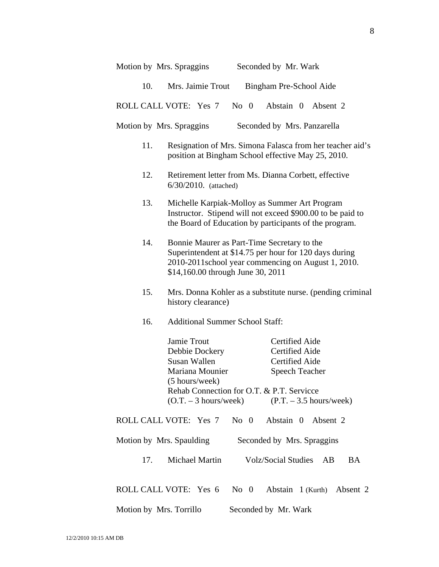| Motion by Mrs. Spraggins | Seconded by Mr. Wark |  |
|--------------------------|----------------------|--|
|                          |                      |  |

10. Mrs. Jaimie Trout Bingham Pre-School Aide

ROLL CALL VOTE: Yes 7 No 0 Abstain 0 Absent 2

Motion by Mrs. Spraggins Seconded by Mrs. Panzarella

- 11. Resignation of Mrs. Simona Falasca from her teacher aid's position at Bingham School effective May 25, 2010.
- 12. Retirement letter from Ms. Dianna Corbett, effective 6/30/2010. (attached)
- 13. Michelle Karpiak-Molloy as Summer Art Program Instructor. Stipend will not exceed \$900.00 to be paid to the Board of Education by participants of the program.
- 14. Bonnie Maurer as Part-Time Secretary to the Superintendent at \$14.75 per hour for 120 days during 2010-2011school year commencing on August 1, 2010. \$14,160.00 through June 30, 2011
- 15. Mrs. Donna Kohler as a substitute nurse. (pending criminal history clearance)
- 16. Additional Summer School Staff:

Jamie Trout Certified Aide Debbie Dockery Certified Aide Susan Wallen Certified Aide Mariana Mounier Speech Teacher (5 hours/week) Rehab Connection for O.T. & P.T. Servicce  $(0.T. - 3 hours/week)$  (P.T. – 3.5 hours/week)

ROLL CALL VOTE: Yes 7 No 0 Abstain 0 Absent 2

| Motion by Mrs. Spaulding | Seconded by Mrs. Spraggins |
|--------------------------|----------------------------|
|--------------------------|----------------------------|

17. Michael Martin Volz/Social Studies AB BA

ROLL CALL VOTE: Yes 6 No 0 Abstain 1 (Kurth) Absent 2

Motion by Mrs. Torrillo Seconded by Mr. Wark